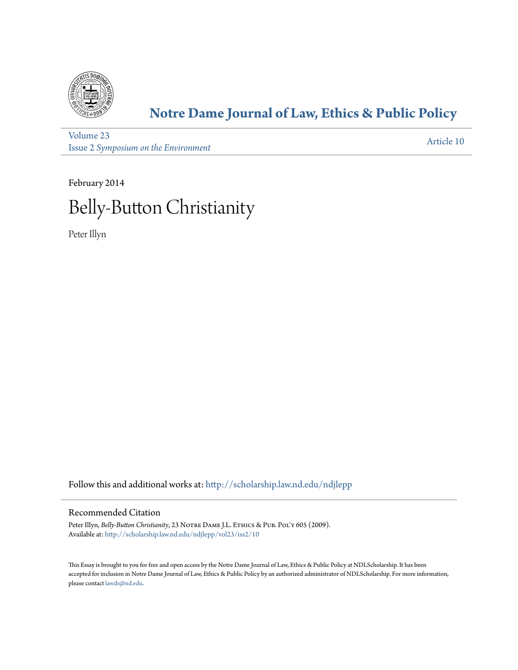

# **[Notre Dame Journal of Law, Ethics & Public Policy](http://scholarship.law.nd.edu/ndjlepp?utm_source=scholarship.law.nd.edu%2Fndjlepp%2Fvol23%2Fiss2%2F10&utm_medium=PDF&utm_campaign=PDFCoverPages)**

[Volume 23](http://scholarship.law.nd.edu/ndjlepp/vol23?utm_source=scholarship.law.nd.edu%2Fndjlepp%2Fvol23%2Fiss2%2F10&utm_medium=PDF&utm_campaign=PDFCoverPages) Issue 2 *[Symposium on the Environment](http://scholarship.law.nd.edu/ndjlepp/vol23/iss2?utm_source=scholarship.law.nd.edu%2Fndjlepp%2Fvol23%2Fiss2%2F10&utm_medium=PDF&utm_campaign=PDFCoverPages)*

[Article 10](http://scholarship.law.nd.edu/ndjlepp/vol23/iss2/10?utm_source=scholarship.law.nd.edu%2Fndjlepp%2Fvol23%2Fiss2%2F10&utm_medium=PDF&utm_campaign=PDFCoverPages)

February 2014

# Belly-Button Christianity

Peter Illyn

Follow this and additional works at: [http://scholarship.law.nd.edu/ndjlepp](http://scholarship.law.nd.edu/ndjlepp?utm_source=scholarship.law.nd.edu%2Fndjlepp%2Fvol23%2Fiss2%2F10&utm_medium=PDF&utm_campaign=PDFCoverPages)

# Recommended Citation

Peter Illyn, *Belly-Button Christianity*, 23 NOTRE DAME J.L. ETHICS & PUB. POL'Y 605 (2009). Available at: [http://scholarship.law.nd.edu/ndjlepp/vol23/iss2/10](http://scholarship.law.nd.edu/ndjlepp/vol23/iss2/10?utm_source=scholarship.law.nd.edu%2Fndjlepp%2Fvol23%2Fiss2%2F10&utm_medium=PDF&utm_campaign=PDFCoverPages)

This Essay is brought to you for free and open access by the Notre Dame Journal of Law, Ethics & Public Policy at NDLScholarship. It has been accepted for inclusion in Notre Dame Journal of Law, Ethics & Public Policy by an authorized administrator of NDLScholarship. For more information, please contact [lawdr@nd.edu](mailto:lawdr@nd.edu).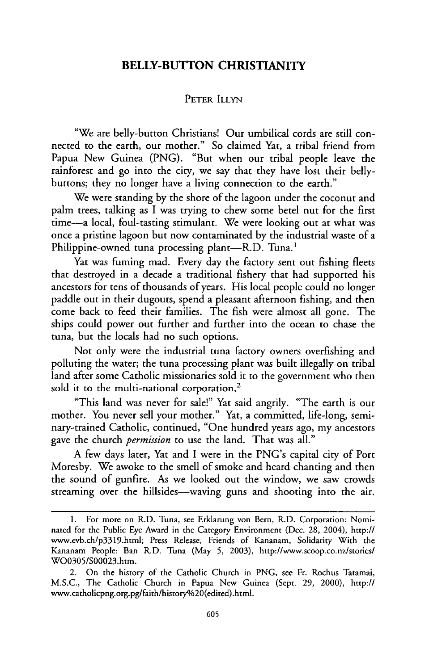## **BELLY-BUTTON CHRISTIANITY**

#### PETER ILLYN

"We are belly-button Christians! Our umbilical cords are still connected to the earth, our mother." So claimed Yat, a tribal friend from Papua New Guinea **(PNG).** "But when our tribal people leave the rainforest and go into the city, we say that they have lost their bellybuttons; they no longer have a living connection to the earth."

We were standing by the shore of the lagoon under the coconut and palm trees, talking as I was trying to chew some betel nut for the first time-a local, foul-tasting stimulant. We were looking out at what was once a pristine lagoon but now contaminated **by** the industrial waste of a Philippine-owned tuna processing plant-R.D. Tuna.<sup>1</sup>

Yat was fuming mad. Every day the factory sent out fishing fleets that destroyed in a decade a traditional fishery that had supported his ancestors for tens of thousands of years. His local people could no longer paddle out in their dugouts, spend a pleasant afternoon fishing, and then come back to feed their families. The fish were almost all gone. The ships could power out further and further into the ocean to chase the tuna, but the locals had no such options.

Not only were the industrial tuna factory owners overfishing and polluting the water; the tuna processing plant was built illegally on tribal land after some Catholic missionaries sold it to the government who then sold it to the multi-national corporation.<sup>2</sup>

"This land was never for sale!" Yat said angrily. "The earth is our mother. You never sell your mother." Yat, a committed, life-long, seminary-trained Catholic, continued, "One hundred years ago, my ancestors gave the church *permission* to use the land. That was all."

A few days later, Yat and I were in the PNG's capital city of Port Moresby. We awoke to the smell of smoke and heard chanting and then the sound of gunfire. As we looked out the window, we saw crowds streaming over the hillsides—waving guns and shooting into the air.

<sup>1.</sup> For more on R.D. Tuna, see Erklarung von Bern, R.D. Corporation: Nominated for the Public Eye Award in the Category Environment (Dec. 28, 2004), http:// www.evb.ch/p3319.html; Press Release, Friends of Kananam, Solidarity With the Kananam People: Ban R.D. Tuna (May **5,** 2003), http://www.scoop.co.nz/stories/ W00305/S00023.htm.

<sup>2.</sup> On the history of the Catholic Church in PNG, see Fr. Rochus Tatamai, M.S.C., The Catholic Church in Papua New Guinea (Sept. **29,** 2000), http:// www.catholicpng.org.pg/faith/history%20(edited).html.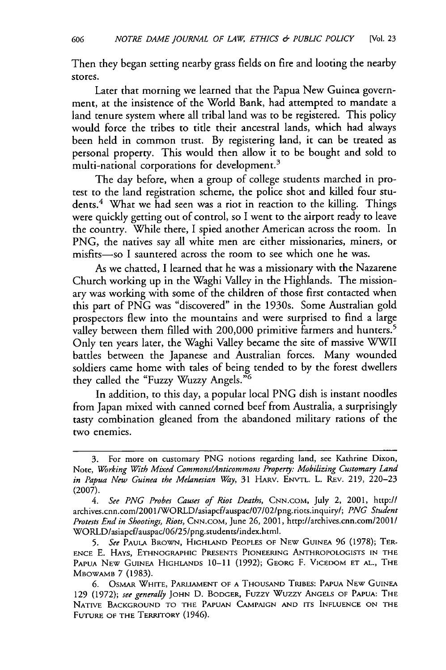Then they began setting nearby grass fields on fire and looting the nearby stores.

Later that morning we learned that the Papua New Guinea government, at the insistence of the World Bank, had attempted to mandate a land tenure system where all tribal land was to be registered. This policy would force the tribes to title their ancestral lands, which had always been held in common trust. By registering land, it can be treated as personal property. This would then allow it to be bought and sold to multi-national corporations for development.<sup>3</sup>

The day before, when a group of college students marched in protest to the land registration scheme, the police shot and killed four students.<sup>4</sup> What we had seen was a riot in reaction to the killing. Things were quickly getting out of control, so I went to the airport ready to leave the country. While there, I spied another American across the room. In PNG, the natives say all white men are either missionaries, miners, or misfits-so I sauntered across the room to see which one he was.

As we chatted, I learned that he was a missionary with the Nazarene Church working up in the Waghi Valley in the Highlands. The missionary was working with some of the children of those first contacted when this part of PNG was "discovered" in the 1930s. Some Australian gold prospectors flew into the mountains and were surprised to find a large valley between them filled with 200,000 primitive farmers and hunters.<sup>5</sup> Only ten years later, the Waghi Valley became the site of massive WWII battles between the Japanese and Australian forces. Many wounded soldiers came home with tales of being tended to by the forest dwellers they called the "Fuzzy Wuzzy Angels."<sup>6</sup>

In addition, to this day, a popular local PNG dish is instant noodles from Japan mixed with canned corned beef from Australia, a surprisingly tasty combination gleaned from the abandoned military rations of the two enemies.

<sup>3.</sup> For more on customary PNG notions regarding land, see Kathrine Dixon, Note, *Working With Mixed Commons/Anticommons Property: Mobilizing Customary Land in Papua New Guinea the Melanesian Way,* 31 HARv. ENVTL. L. REv. 219, 220-23 (2007).

*<sup>4.</sup> See PNG Probes Causes of Riot Deaths,* CNN.COM, July 2, 2001, http:// archives.cnn.com/2001/WORLD/asiapcf/auspac/07/02/png.riots.inquiry/; *PNG Student Protests End in Shootings, Riots,* CNN.COM, June **26,** 2001, http://archives.cnn.com/2001/ WORLD/asiapcf/auspac/06/25/png.students/index.html.

*<sup>5.</sup> See* PAULA BROWN, HIGHLAND PEOPLES OF NEW GUINEA **96** (1978); TER-**ENCE** E. HAYS, ETHNOGRAPHIC PRESENTS PIONEERING ANTHROPOLOGISTS IN THE PAPUA NEW GUINEA HIGHLANDS 10-11 (1992); GEORG F. VICEDOM ET AL., THE MBOWAMB 7 (1983).

**<sup>6.</sup>** OSMAR WHITE, PARLIAMENT OF A THOUSAND TRIBES: PAPUA NEW GUINEA **129** (1972); *see generally* JOHN D. BODGER, Fuzzy Wuzzy ANGELS OF PAPUA: THE NATIVE BACKGROUND TO THE PAPUAN CAMPAIGN AND ITS INFLUENCE ON THE FUTURE OF THE TERRITORY (1946).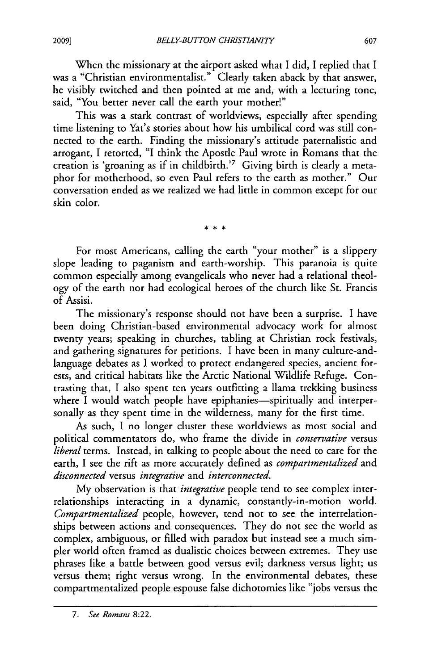When the missionary at the airport asked what I did, I replied that I was a "Christian environmentalist." Clearly taken aback by that answer, he visibly twitched and then pointed at me and, with a lecturing tone, said, "You better never call the earth your mother!"

This was a stark contrast of worldviews, especially after spending time listening to Yat's stories about how his umbilical cord was still connected to the earth. Finding the missionary's attitude paternalistic and arrogant, I retorted, "I think the Apostle Paul wrote in Romans that the creation is 'groaning as if in childbirth.'7 Giving birth is clearly a metaphor for motherhood, so even Paul refers to the earth as mother." Our conversation ended as we realized we had little in common except for our skin color.

For most Americans, calling the earth "your mother" is a slippery slope leading to paganism and earth-worship. This paranoia is quite common especially among evangelicals who never had a relational theology of the earth nor had ecological heroes of the church like St. Francis of Assisi.

The missionary's response should not have been a surprise. I have been doing Christian-based environmental advocacy work for almost twenty years; speaking in churches, tabling at Christian rock festivals, and gathering signatures for petitions. I have been in many culture-andlanguage debates as I worked to protect endangered species, ancient forests, and critical habitats like the Arctic National Wildlife Refuge. Contrasting that, I also spent ten years outfitting a llama trekking business where I would watch people have epiphanies—spiritually and interpersonally as they spent time in the wilderness, many for the first time.

As such, I no longer cluster these worldviews as most social and political commentators do, who frame the divide in *conservative* versus *liberal* terms. Instead, in talking to people about the need to care for the earth, I see the rift as more accurately defined as *compartmentalized and disconnected* versus *integrative* and *interconnected.*

**My** observation is that *integrative* people tend to see complex interrelationships interacting in a dynamic, constantly-in-motion world. *Compartmentalized* people, however, tend not to see the interrelationships between actions and consequences. They do not see the world as complex, ambiguous, or filled with paradox but instead see a much simpler world often framed as dualistic choices between extremes. They use phrases like a battle between good versus evil; darkness versus light; us versus them; right versus wrong. In the environmental debates, these compartmentalized people espouse false dichotomies like "jobs versus the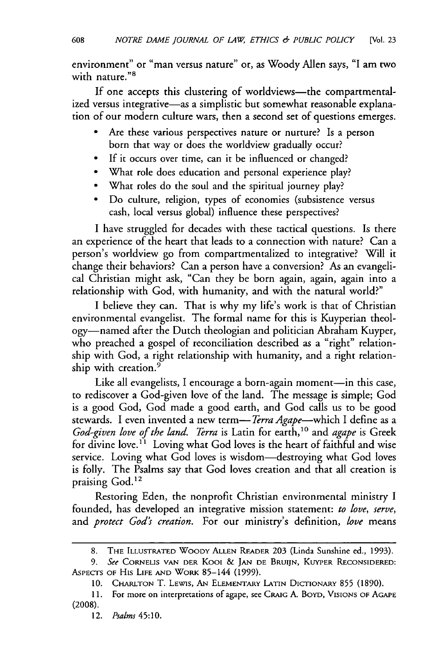environment" or "man versus nature" or, as Woody Allen says, "I am two with nature."<sup>8</sup>

If one accepts this clustering of worldviews-the compartmentalized versus integrative-as a simplistic but somewhat reasonable explanation of our modern culture wars, then a second set of questions emerges.

- **"** Are these various perspectives nature or nurture? Is a person born that way or does the worldview gradually occur?
- **"** If it occurs over time, can it be influenced or changed?
- **"** What role does education and personal experience play?
- What roles do the soul and the spiritual journey play?
- Do culture, religion, types of economies (subsistence versus cash, local versus global) influence these perspectives?

I have struggled for decades with these tactical questions. Is there an experience of the heart that leads to a connection with nature? Can a person's worldview go from compartmentalized to integrative? Will it change their behaviors? Can a person have a conversion? As an evangelical Christian might ask, "Can they be born again, again, again into a relationship with God, with humanity, and with the natural world?"

I believe they can. That is why my life's work is that of Christian environmental evangelist. The formal name for this is Kuyperian theology-named after the Dutch theologian and politician Abraham Kuyper, who preached a gospel of reconciliation described as a "right" relationship with God, a right relationship with humanity, and a right relationship with creation.<sup>9</sup>

Like all evangelists, I encourage a born-again moment—in this case, to rediscover a God-given love of the land. The message is simple; God is a good God, God made a good earth, and God calls us to be good stewards. I even invented a new term- *Terra Agape-which* I define as a *God-given love of the land. Terra* is Latin for earth,1 " and *agape* is Greek for divine love.<sup>11</sup> Loving what God loves is the heart of faithful and wise service. Loving what God loves is wisdom-destroying what God loves is folly. The Psalms say that God loves creation and that all creation is praising God.<sup>12</sup>

Restoring Eden, the nonprofit Christian environmental ministry I founded, has developed an integrative mission statement: *to love, serve,* and *protect* God's *creation.* For our ministry's definition, *love* means

<sup>8.</sup> THE **ILLUSTRATED** WOODY **ALLEN** READER 203 (Linda Sunshine ed., 1993).

*<sup>9.</sup> See* **CORNELIS VAN** DER **Kooi** & **JAN DE BRUIJN,** KUYPER RECONSIDERED: ASPECTS OF His **LIFE AND** WORK 85-144 **(1999).**

<sup>10.</sup> CHARLTON T. LEWIS, **AN** ELEMENTARY LATIN DICrIONARY **855** (1890).

<sup>11.</sup> **For** more **on** interpretations **of agape,** see **CRAIG** A. BOYD, VISIONS OF **AGAPE** (2008).

<sup>12.</sup> *Psalms 45:10.*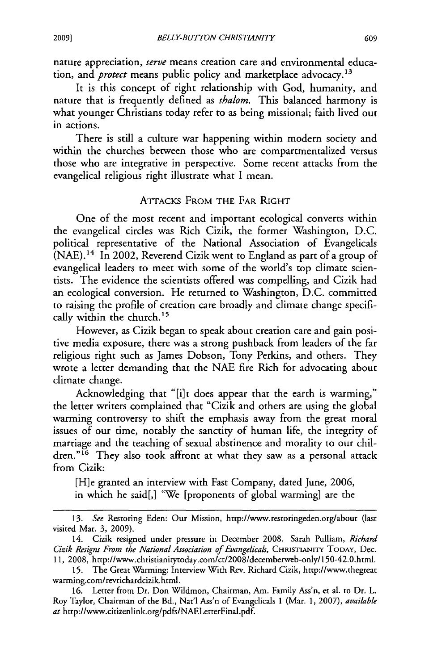nature appreciation, *serve* means creation care and environmental education, and *protect* means public policy and marketplace advocacy. <sup>13</sup>

It is this concept of right relationship with God, humanity, and nature that is frequently defined as *shalom.* This balanced harmony is what younger Christians today refer to as being missional; faith lived out in actions.

There is still a culture war happening within modern society and within the churches between those who are compartmentalized versus those who are integrative in perspective. Some recent attacks from the evangelical religious right illustrate what I mean.

#### ATTACKS FROM THE FAR RIGHT

One of the most recent and important ecological converts within the evangelical circles was Rich Cizik, the former Washington, D.C. political representative of the National Association of Evangelicals (NAE). 14 In 2002, Reverend Cizik went to England as part of a group of evangelical leaders to meet with some of the world's top climate scientists. The evidence the scientists offered was compelling, and Cizik had an ecological conversion. He returned to Washington, D.C. committed to raising the profile of creation care broadly and climate change specifically within the church.<sup>15</sup>

However, as Cizik began to speak about creation care and gain positive media exposure, there was a strong pushback from leaders of the far religious right such as James Dobson, Tony Perkins, and others. They wrote a letter demanding that the NAE fire Rich for advocating about climate change.

Acknowledging that "[i]t does appear that the earth is warming," the letter writers complained that "Cizik and others are using the global warming controversy to shift the emphasis away from the great moral issues of our time, notably the sanctity of human life, the integrity of marriage and the teaching of sexual abstinence and morality to our children."<sup>16</sup> They also took affront at what they saw as a personal attack from Cizik:

[H]e granted an interview with Fast Company, dated June, 2006, in which he said[,] "We [proponents of global warming] are the 609

*<sup>13.</sup> See* Restoring Eden: Our Mission, http://www.restoringeden.org/about (last visited Mar. 3, 2009).

<sup>14.</sup> Cizik resigned under pressure in December 2008. Sarah Pulliam, *Richard Cizik Resigns From* the *National Association of Evangelicals,* CHISTIANiTY TODAY, Dec. **11, 2008,** http://www.christianitytoday.com/ct/2008/decemberweb-only/150-42.0.html.

**<sup>15.</sup>** The Great Warming: Interview With Rev. Richard Cizik, http://www.thegreat warming.com/revrichardcizik.html.

**<sup>16.</sup>** Letter from Dr. Don Wildmon, Chairman, Am. Family Ass'n, et al. to Dr. L. Roy Taylor, Chairman of the Bd., Nat'l Ass'n of Evangelicals 1 (Mar. **1,** 2007), *available at* http://www.citizenlink.org/pdfs/NAELetterFinal.pdf.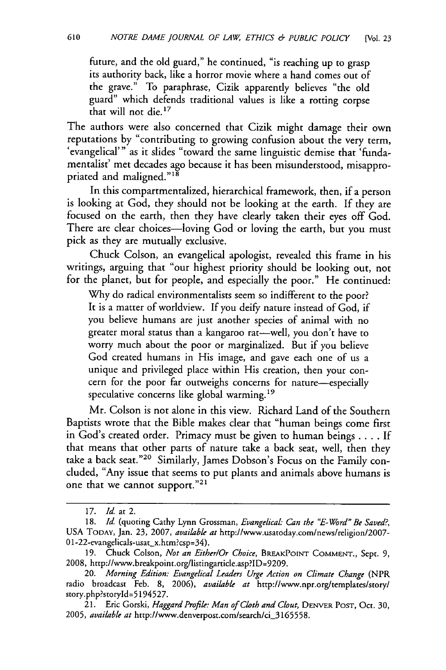future, and the old guard," he continued, "is reaching up to grasp its authority back, like a horror movie where a hand comes out of the grave." To paraphrase, Cizik apparently believes "the old guard" which defends traditional values is like a rotting corpse that will not die.<sup>17</sup>

The authors were also concerned that Cizik might damage their own reputations by "contributing to growing confusion about the very term, 'evangelical'" as it slides "toward the same linguistic demise that 'fundamentalist' met decades ago because it has been misunderstood, misappropriated and maligned."<sup>18</sup>

In this compartmentalized, hierarchical framework, then, if a person is looking at God, they should not be looking at the earth. If they are focused on the earth, then they have clearly taken their eyes off God. There are clear choices-loving God or loving the earth, but you must pick as they are mutually exclusive.

Chuck Colson, an evangelical apologist, revealed this frame in his writings, arguing that "our highest priority should be looking out, not for the planet, but for people, and especially the poor." He continued:

Why do radical environmentalists seem so indifferent to the poor? It is a matter of worldview. If you deify nature instead of God, if you believe humans are just another species of animal with no greater moral status than a kangaroo rat-well, you don't have to worry much about the poor or marginalized. But if you believe God created humans in His image, and gave each one of us a unique and privileged place within His creation, then your concern for the poor far outweighs concerns for nature-especially speculative concerns like global warming.<sup>19</sup>

Mr. Colson is not alone in this view. Richard Land of the Southern Baptists wrote that the Bible makes clear that "human beings come first in God's created order. Primacy must be given to human beings **....** If that means that other parts of nature take a back seat, well, then they take a back seat."<sup>20</sup> Similarly, James Dobson's Focus on the Family concluded, "Any issue that seems to put plants and animals above humans is one that we cannot support."21

<sup>17.</sup> Id. at 2.

*<sup>18.</sup>* **Id.** (quoting Cathy Lynn Grossman, *Evangelical- Can the "F-Word" Be Saved?,* USA TODAY, Jan. 23, 2007, *available at* http://www.usatoday.com/news/religion/2007- 01-22-evangelicals-usat\_x.htm?csp=34).

<sup>19.</sup> Chuck Colson, *Not an Either/Or Choice,* BREAKPOINT **COMMENT.,** Sept. 9, 2008, http://www.breakpoint.orgllistingarticle.asp?ID=9209.

<sup>20.</sup> *Morning Edition: Evangelical Leaders Urge Action on Climate Change* (NPR radio broadcast Feb. 8, 2006), *available at* http://www.npr.org/templates/story/ story.php?storyld=5194527.

<sup>21.</sup> Eric Gorski, *Haggard Profile: Man of Cloth and Clout,* DENVER POST, Oct. 30, 2005, available at http://www.denverpost.com/search/ci\_3165558.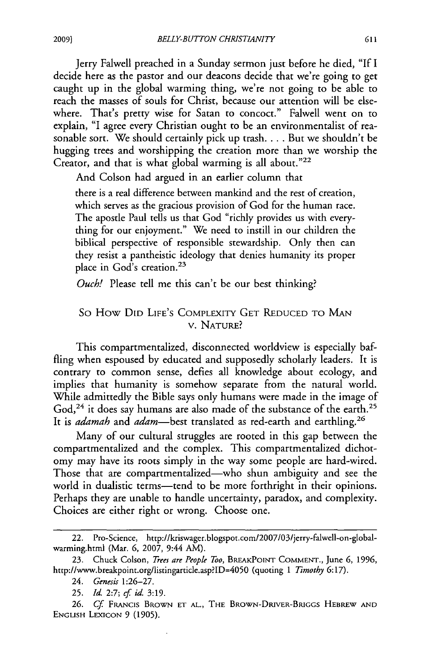Jerry Falwell preached in a Sunday sermon just before he died, "If I decide here as the pastor and our deacons decide that we're going to get caught up in the global warming thing, we're not going to be able to reach the masses of souls for Christ, because our attention will be elsewhere. That's pretty wise for Satan to concoct." Falwell went on to explain, "I agree every Christian ought to be an environmentalist of reasonable sort. We should certainly pick up trash.... But we shouldn't be hugging trees and worshipping the creation more than we worship the Creator, and that is what global warming is all about."<sup>22</sup>

And Colson had argued in an earlier column that

there is a real difference between mankind and the rest of creation, which serves as the gracious provision of God for the human race. The apostle Paul tells us that God "richly provides us with everything for our enjoyment." We need to instill in our children the biblical perspective of responsible stewardship. Only then can they resist a pantheistic ideology that denies humanity its proper place in God's creation.<sup>23</sup>

*Ouch!* Please tell me this can't be our best thinking?

## So How DID LIFE'S COMPLEXITY GET REDUCED TO **MAN** V. NATURE?

This compartmentalized, disconnected worldview is especially baffling when espoused by educated and supposedly scholarly leaders. It is contrary to common sense, defies all knowledge about ecology, and implies that humanity is somehow separate from the natural world. While admittedly the Bible says only humans were made in the image of God,<sup>24</sup> it does say humans are also made of the substance of the earth.<sup>25</sup> It is *adamah* and *adam*—best translated as red-earth and earthling.<sup>26</sup>

Many of our cultural struggles are rooted in this gap between the compartmentalized and the complex. This compartmentalized dichotomy may have its roots simply in the way some people are hard-wired. Those that are compartmentalized-who shun ambiguity and see the world in dualistic terms—tend to be more forthright in their opinions. Perhaps they are unable to handle uncertainty, paradox, and complexity. Choices are either right or wrong. Choose one.

<sup>22.</sup> Pro-Science, http://kriswager.blogspot.com/2007/03/jerry-falwell-on-globalwarming.html (Mar. 6, 2007, 9:44 AM).

<sup>23.</sup> Chuck Colson, *Trees are People* Too, BREAKPOINT COMMENT., June 6, 1996, http:llwww.breakpoint.org/listingarticle.asp?ID=4050 (quoting 1 *Timothy* 6:17).

<sup>24.</sup> *Genesis* 1:26-27.

**<sup>25.</sup>** *Id.* 2:7; **rf** *id* 3:19.

<sup>26.</sup> *Cf* FRANcis BROWN **ET AL.,** THE BROWN-DRiVER-BRIGGS **HEBREW AND ENGUSH LEXICON** 9 (1905).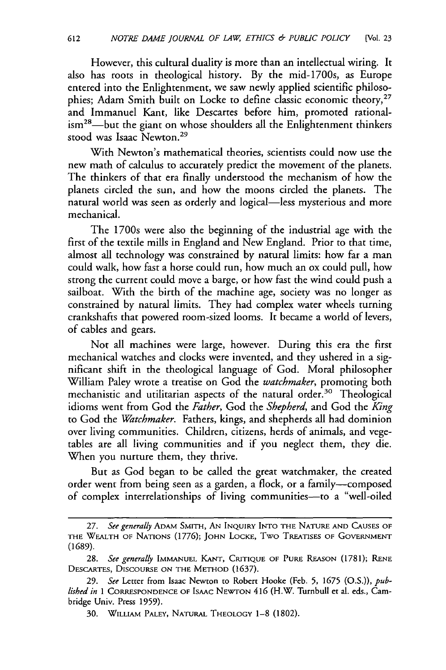However, this cultural duality is more than an intellectual wiring. It also has roots in theological history. By the mid-1700s, as Europe entered into the Enlightenment, we saw newly applied scientific philosophies; Adam Smith built on Locke to define classic economic theory,<sup>27</sup> and Immanuel Kant, like Descartes before him, promoted rationalism<sup>28</sup>-but the giant on whose shoulders all the Enlightenment thinkers stood was Isaac Newton.<sup>29</sup>

With Newton's mathematical theories, scientists could now use the new math of calculus to accurately predict the movement of the planets. The thinkers of that era finally understood the mechanism of how the planets circled the sun, and how the moons circled the planets. The natural world was seen as orderly and logical—less mysterious and more mechanical.

The 1700s were also the beginning of the industrial age with the first of the textile mills in England and New England. Prior to that time, almost all technology was constrained by natural limits: how far a man could walk, how fast a horse could run, how much an ox could pull, how strong the current could move a barge, or how fast the wind could push a sailboat. With the birth of the machine age, society was no longer as constrained by natural limits. They had complex water wheels turning crankshafts that powered room-sized looms. It became a world of levers, of cables and gears.

Not all machines were large, however. During this era the first mechanical watches and clocks were invented, and they ushered in a significant shift in the theological language of God. Moral philosopher William Paley wrote a treatise on God the *watchmaker,* promoting both mechanistic and utilitarian aspects of the natural order.<sup>30</sup> Theological idioms went from God the *Father,* God the *Shepherd,* and God the *King* to God the *Watchmaker.* Fathers, kings, and shepherds all had dominion over living communities. Children, citizens, herds of animals, and vegetables are all living communities and if you neglect them, they die. When you nurture them, they thrive.

But as God began to be called the great watchmaker, the created order went from being seen as a garden, a flock, or a family-composed of complex interrelationships of living communities-to a "well-oiled

<sup>27.</sup> *See generally* ADAM SMITH, **AN INQUIRY INTO** THE NATURE **AND CAUSES** OF THE WEALTH OF NATIONS (1776); **JOHN** LOCKE, Two TREATISES OF **GOVERNMENT** (1689).

<sup>28.</sup> *See generally* **IMMANUEL KANT, CRITIQUE** OF PURE REASON (1781); **RENE** DESCARTES, DISCOURSE **ON** THE METHOD (1637).

**<sup>29.</sup>** *See* Letter from Isaac Newton to Robert Hooke (Feb. **5, 1675 (O.S.)),** *published in* 1 **CORRESPONDENCE** OF ISAAC **NEWTON** 416 (H.W. Turnbull et al. eds., Cambridge Univ. Press 1959).

<sup>30.</sup> WILLIAM **PALEY,** NATURAL THEOLOGY 1-8 (1802).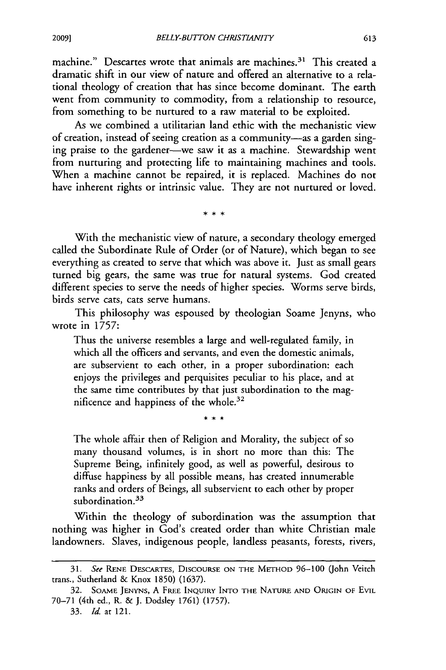machine." Descartes wrote that animals are machines.<sup>31</sup> This created a dramatic shift in our view of nature and offered an alternative to a relational theology of creation that has since become dominant. The earth went from community to commodity, from a relationship to resource, from something to be nurtured to a raw material to be exploited.

As we combined a utilitarian land ethic with the mechanistic view of creation, instead of seeing creation as a community-as a garden singing praise to the gardener-we saw it as a machine. Stewardship went from nurturing and protecting life to maintaining machines and tools. When a machine cannot be repaired, it is replaced. Machines do not have inherent rights or intrinsic value. They are not nurtured or loved.

\* \* \*

With the mechanistic view of nature, a secondary theology emerged called the Subordinate Rule of Order (or of Nature), which began to see everything as created to serve that which was above it. Just as small gears turned big gears, the same was true for natural systems. God created different species to serve the needs of higher species. Worms serve birds, birds serve cats, cats serve humans.

This philosophy was espoused by theologian Soame Jenyns, who wrote in **1757:**

Thus the universe resembles a large and well-regulated family, in which all the officers and servants, and even the domestic animals, are subservient to each other, in a proper subordination: each enjoys the privileges and perquisites peculiar to his place, and at the same time contributes by that just subordination to the magnificence and happiness of the whole.<sup>32</sup>

 $***$ 

The whole affair then of Religion and Morality, the subject of so many thousand volumes, is in short no more than this: The Supreme Being, infinitely good, as well as powerful, desirous to diffuse happiness by all possible means, has created innumerable ranks and orders of Beings, all subservient to each other by proper subordination. **<sup>33</sup>**

Within the theology of subordination was the assumption that nothing was higher in God's created order than white Christian male landowners. Slaves, indigenous people, landless peasants, forests, rivers,

*<sup>31.</sup> See* **RENE** DESCARTES, DISCOURSE **ON THE** METHOD 96-100 (John Veitch trans., Sutherland & Knox 1850) (1637).

<sup>32.</sup> **SOAME JENYNS,** A **FREE** INQUIRY **INTO** THE NATURE **AND** ORIGIN OF **EVIL** 70-71 (4th ed., R. & **J.** Dodsley 1761) (1757).

<sup>33.</sup> *Id.* at 121.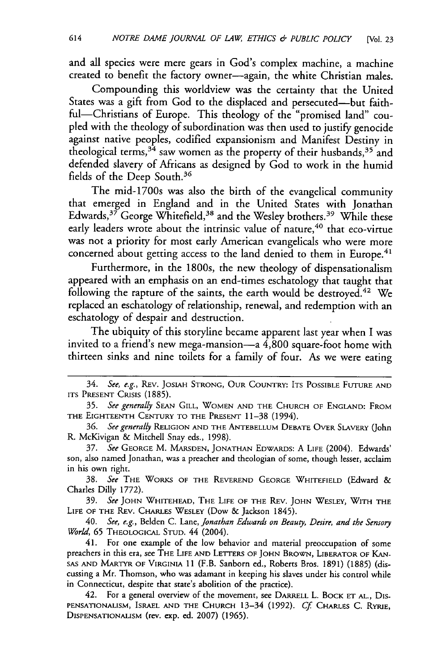and all species were mere gears in God's complex machine, a machine created to benefit the factory owner-again, the white Christian males.

Compounding this worldview was the certainty that the United States was a gift from God to the displaced and persecuted-but faithful-Christians of Europe. This theology of the "promised land" coupled with the theology of subordination was then used to justify genocide against native peoples, codified expansionism and Manifest Destiny in theological terms,  $34$  saw women as the property of their husbands,  $35$  and defended slavery of Africans as designed by God to work in the humid fields of the Deep South. <sup>36</sup>

The mid-1700s was also the birth of the evangelical community that emerged in England and in the United States with Jonathan Edwards,  $3^7$  George Whitefield,  $3^8$  and the Wesley brothers.  $3^9$  While these early leaders wrote about the intrinsic value of nature,<sup>40</sup> that eco-virtue was not a priority for most early American evangelicals who were more concerned about getting access to the land denied to them in Europe.<sup>41</sup>

Furthermore, in the 1800s, the new theology of dispensationalism appeared with an emphasis on an end-times eschatology that taught that following the rapture of the saints, the earth would be destroyed.<sup>42</sup> We replaced an eschatology of relationship, renewal, and redemption with an eschatology of despair and destruction.

The ubiquity of this storyline became apparent last year when I was invited to a friend's new mega-mansion—a  $4,800$  square-foot home with thirteen sinks and nine toilets for a family of four. As we were eating

38. *See* THE WORKS OF THE REVEREND GEORGE WHITEFIELD (Edward & Charles Dilly 1772).

*39. See* JOHN WHITEHEAD, THE LIFE OF THE REV. JOHN WESLEY, WITH THE LIFE OF THE REV. CHARLES WESLEY (Dow & Jackson 1845).

40. *See, e.g.,* Belden C. Lane, *Jonathan Edwards on Beauty, Desire, and the Sensory World,* **65** THEOLOGICAL STUD. 44 (2004).

41. For one example of the low behavior and material preoccupation of some preachers in this era, see THE LIFE AND LETTERS OF **JOHN** BROWN, LIBERATOR OF **KAN-SAS** AND MARTYR OF VIRGINIA 11 (F.B. Sanborn ed., Roberts Bros. 1891) (1885) (discussing a Mr. Thomson, who was adamant in keeping his slaves under his control while in Connecticut, despite that state's abolition of the practice).

42. For a general overview of the movement, see DARRELL L. BOCK **ET AL.,** Dis-PENSATIONALISM, ISRAEL **AND** THE CHURCH 13-34 (1992). *Cf* CHARLES C. RYRIE, DISPENSATIONALISM (rev. exp. ed. 2007) **(1965).**

<sup>34.</sup> *See, e.g.,* REV. JOSIAH STRONG, OUR COUNTRY: ITS POSSIBLE FUTURE **AND** ITS PRESENT CRISIS (1885).

**<sup>35.</sup>** *See generally* SEAN GILL, WOMEN AND THE CHURCH OF ENGLAND: FROM THE EIGHTEENTH CENTURY TO THE PRESENT 11-38 (1994).

<sup>36.</sup> *See generally* RELIGION **AND** THE ANTEBELLUM DEBATE OVER SLAVERY (John R. McKivigan & Mitchell Snay eds., 1998).

<sup>37.</sup> *See* GEORGE M. MARSDEN, JONATHAN EDWARDS: A LIFE (2004). Edwards' son, also named Jonathan, was a preacher and theologian of some, though lesser, acclaim in his own right.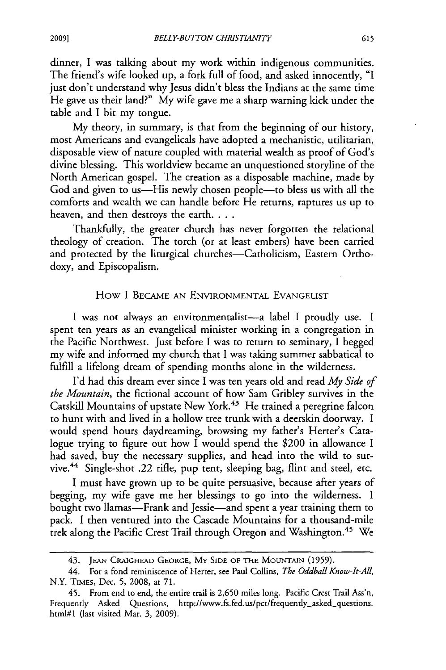dinner, I was talking about my work within indigenous communities. The friend's wife looked up, a fork full of food, and asked innocently, "I just don't understand why Jesus didn't bless the Indians at the same time He gave us their land?" My wife gave me a sharp warning kick under the table and I bit my tongue.

My theory, in summary, is that from the beginning of our history, most Americans and evangelicals have adopted a mechanistic, utilitarian, disposable view of nature coupled with material wealth as proof of God's divine blessing. This worldview became an unquestioned storyline of the North American gospel. The creation as a disposable machine, made by God and given to us—His newly chosen people—to bless us with all the comforts and wealth we can handle before He returns, raptures us up to heaven, and then destroys the earth....

Thankfully, the greater church has never forgotten the relational theology of creation. The torch (or at least embers) have been carried and protected by the liturgical churches—Catholicism, Eastern Orthodoxy, and Episcopalism.

#### How **I** BECAME **AN** ENVIRONMENTAL EVANGELIST

I was not always an environmentalist—a label I proudly use. I spent ten years as an evangelical minister working in a congregation in the Pacific Northwest. Just before I was to return to seminary, I begged my wife and informed my church that I was taking summer sabbatical to fulfill a lifelong dream of spending months alone in the wilderness.

I'd had this dream ever since I was ten years old and read *My Side of the Mountain,* the fictional account of how Sam Gribley survives in the Catskill Mountains of upstate New York.<sup>43</sup> He trained a peregrine falcon to hunt with and lived in a hollow tree trunk with a deerskin doorway. I would spend hours daydreaming, browsing my father's Herter's Catalogue trying to figure out how I would spend the \$200 in allowance I had saved, buy the necessary supplies, and head into the wild to survive.44 Single-shot .22 rifle, pup tent, sleeping bag, flint and steel, etc.

I must have grown up to be quite persuasive, because after years of begging, my wife gave me her blessings to go into the wilderness. I bought two llamas-Frank and Jessie-and spent a year training them to pack. I then ventured into the Cascade Mountains for a thousand-mile trek along the Pacific Crest Trail through Oregon and Washington.<sup>45</sup> We

<sup>43.</sup> **JEAN** CRAIGHEAD **GEORGE,** MY **SIDE** OF THE **MOUNTAIN** (1959).

<sup>44.</sup> For a fond reminiscence of Herter, see Paul Collins, *The Oddball Know-It-All,* N.Y. TIMES, Dec. **5,** 2008, at 71.

<sup>45.</sup> From end to end, the entire trail is 2,650 miles long. Pacific Crest Trail Ass'n, Frequently Asked Questions, http://www.fs.fed.us/pct/frequently\_asked\_questions. html#l (last visited Mar. 3, 2009).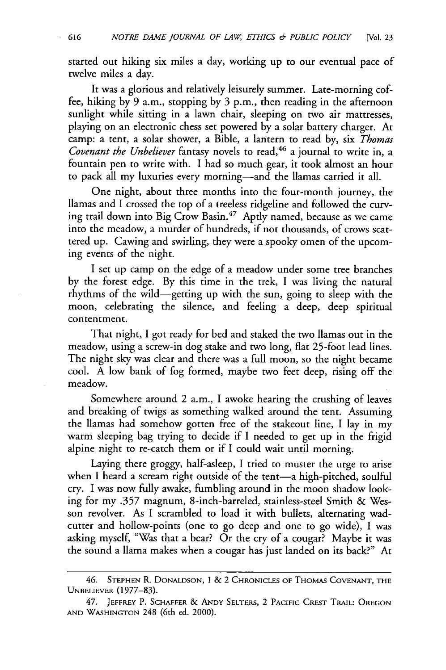started out hiking six miles a day, working up to our eventual pace of twelve miles a day.

It was a glorious and relatively leisurely summer. Late-morning coffee, hiking by 9 a.m., stopping by 3 p.m., then reading in the afternoon sunlight while sitting in a lawn chair, sleeping on two air mattresses, playing on an electronic chess set powered by a solar battery charger. At camp: a tent, a solar shower, a Bible, a lantern to read **by,** six *Thomas Covenant the Unbeliever* fantasy novels to read,<sup>46</sup> a journal to write in, a fountain pen to write with. I had so much gear, it took almost an hour to pack all my luxuries every morning-and the llamas carried it all.

One night, about three months into the four-month journey, the llamas and I crossed the top of a treeless ridgeline and followed the curving trail down into Big Crow Basin.<sup>47</sup> Aptly named, because as we came into the meadow, a murder of hundreds, if not thousands, of crows scattered up. Cawing and swirling, they were a spooky omen of the upcoming events of the night.

I set up camp on the edge of a meadow under some tree branches by the forest edge. By this time in the trek, I was living the natural rhythms of the wild-getting up with the sun, going to sleep with the moon, celebrating the silence, and feeling a deep, deep spiritual contentment.

That night, I got ready for bed and staked the two llamas out in the meadow, using a screw-in dog stake and two long, flat 25-foot lead lines. The night sky was clear and there was a full moon, so the night became cool. A low bank of fog formed, maybe two feet deep, rising off the meadow.

Somewhere around 2 a.m., I awoke hearing the crushing of leaves and breaking of twigs as something walked around the tent. Assuming the llamas had somehow gotten free of the stakeout line, I lay in my warm sleeping bag trying to decide if I needed to get up in the frigid alpine night to re-catch them or if I could wait until morning.

Laying there groggy, half-asleep, I tried to muster the urge to arise when I heard a scream right outside of the tent-a high-pitched, soulful cry. I was now fully awake, fumbling around in the moon shadow looking for my .357 magnum, 8-inch-barreled, stainless-steel Smith & Wesson revolver. As I scrambled to load it with bullets, alternating wadcutter and hollow-points (one to go deep and one to go wide), I was asking myself, "Was that a bear? Or the cry of a cougar? Maybe it was the sound a llama makes when a cougar has just landed on its back?" At

<sup>46.</sup> **STEPHEN** R. **DONALDSON,** 1 & 2 CHRONICLES OF **THOMAS COVENANT,** THE **UNBELIEVER** (1977-83).

<sup>47.</sup> JEFFREY P. SCHAFFER *&* **ANDY** SELTERS, 2 PACIFIC CREST TRAIL: **OREGON AND WASHINGTON** 248 (6th ed. 2000).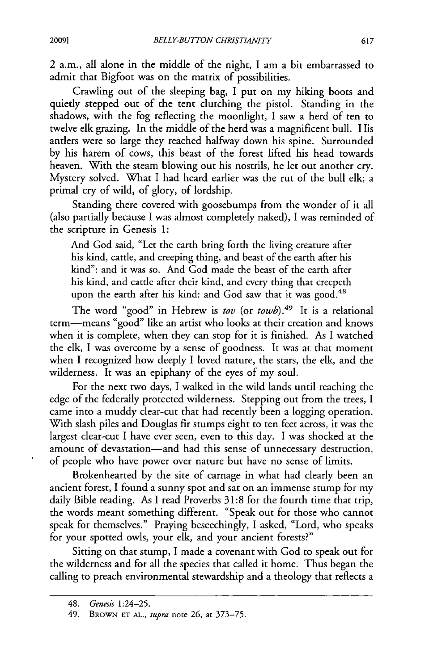2 a.m., all alone in the middle of the night, I am a bit embarrassed to admit that Bigfoot was on the matrix of possibilities.

Crawling out of the sleeping bag, I put on my hiking boots and quietly stepped out of the tent clutching the pistol. Standing in the shadows, with the fog reflecting the moonlight, I saw a herd of ten to twelve elk grazing. In the middle of the herd was a magnificent bull. His antlers were so large they reached halfway down his spine. Surrounded by his harem of cows, this beast of the forest lifted his head towards heaven. With the steam blowing out his nostrils, he let out another cry. Mystery solved. What I had heard earlier was the rut of the bull elk; a primal cry of wild, of glory, of lordship.

Standing there covered with goosebumps from the wonder of it all (also partially because I was almost completely naked), I was reminded of the scripture in Genesis 1:

And God said, "Let the earth bring forth the living creature after his kind, cattle, and creeping thing, and beast of the earth after his kind": and it was so. And God made the beast of the earth after his kind, and cattle after their kind, and every thing that creepeth upon the earth after his kind: and God saw that it was good.<sup>48</sup>

The word "good" in Hebrew is *tov* (or *towb*).<sup>49</sup> It is a relational term-means "good" like an artist who looks at their creation and knows when it is complete, when they can stop for it is finished. As I watched the elk, I was overcome by a sense of goodness. It was at that moment when I recognized how deeply I loved nature, the stars, the elk, and the wilderness. It was an epiphany of the eyes of my soul.

For the next two days, I walked in the wild lands until reaching the edge of the federally protected wilderness. Stepping out from the trees, I came into a muddy clear-cut that had recently been a logging operation. With slash piles and Douglas fir stumps eight to ten feet across, it was the largest clear-cut I have ever seen, even to this day. I was shocked at the amount of devastation-and had this sense of unnecessary destruction, of people who have power over nature but have no sense of limits.

Brokenhearted by the site of carnage in what had clearly been an ancient forest, I found a sunny spot and sat on an immense stump for my daily Bible reading. As I read Proverbs 31:8 for the fourth time that trip, the words meant something different. "Speak out for those who cannot speak for themselves." Praying beseechingly, I asked, "Lord, who speaks for your spotted owls, your elk, and your ancient forests?"

Sitting on that stump, I made a covenant with God to speak out for the wilderness and for all the species that called it home. Thus began the calling to preach environmental stewardship and a theology that reflects a

 $\bullet$ 

*<sup>48.</sup> Genesis* 1:24-25.

<sup>49.</sup> BROWN **ET AL.,** *supra* note **26,** at 373-75.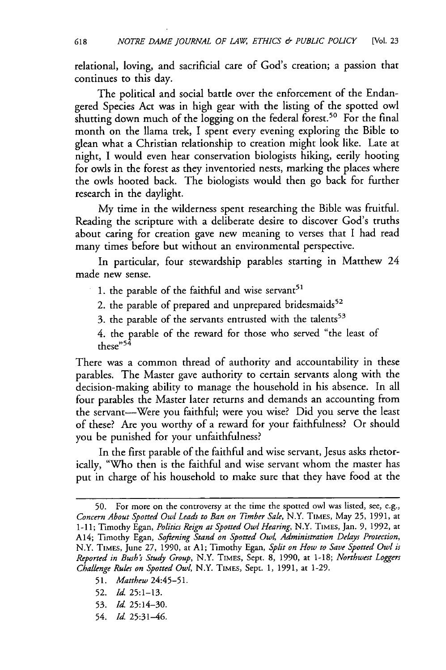relational, loving, and sacrificial care of God's creation; a passion that continues to this day.

The political and social battle over the enforcement of the Endangered Species Act was in high gear with the listing of the spotted owl shutting down much of the logging on the federal forest.<sup>50</sup> For the final month on the llama trek, I spent every evening exploring the Bible to glean what a Christian relationship to creation might look like. Late at night, I would even hear conservation biologists hiking, eerily hooting for owls in the forest as they inventoried nests, marking the places where the owls hooted back. The biologists would then go back for further research in the daylight.

**My** time in the wilderness spent researching the Bible was fruitful. Reading the scripture with a deliberate desire to discover God's truths about caring for creation gave new meaning to verses that I had read many times before but without an environmental perspective.

In particular, four stewardship parables starting in Matthew 24 made new sense.

1. the parable of the faithful and wise servant $51$ 

2. the parable of prepared and unprepared bridesmaids<sup>52</sup>

3. the parable of the servants entrusted with the talents<sup>53</sup>

4. the parable of the reward for those who served "the least of these"<sup>54</sup>

There was a common thread of authority and accountability in these parables. The Master gave authority to certain servants along with the decision-making ability to manage the household in his absence. In all four parables the Master later returns and demands an accounting from the servant-Were you faithful; were you wise? Did you serve the least of these? Are you worthy of a reward for your faithfulness? Or should you be punished for your unfaithfulness?

In the first parable of the faithful and wise servant, Jesus asks rhetorically, "Who then is the faithful and wise servant whom the master has put in charge of his household to make sure that they have food at the

- **52.** *Id.* 25:1-13.
- **53.** *Id.* 25:14-30.
- 54. *Id.* 25:31-46.

**<sup>50.</sup>** For more on the controversy at the time the spotted owl was listed, see, e.g., *Concern About Spotted Owl Leads to Ban on Timber Sale,* N.Y. TIMES, May **25, 1991,** at 1-11; Timothy Egan, *Politics Reign at Spotted Owl Hearing,* N.Y. TIMES, Jan. **9,** 1992, at A14; Timothy Egan, Softening Stand on Spotted Owl, Administration Delays Protection, N.Y. TIMES, June 27, **1990,** at **Al;** Timothy Egan, *Split on How to Save Spotted Owl is Reported in Bush's Study Group,* N.Y. TIMES, Sept. **8,** 1990, at 1-18; *Northwest Loggers Challenge Rules on Spotted Owl,* N.Y. TIMES, Sept. **1,** 1991, at 1-29.

*<sup>51.</sup> Matthew* 24:45-51.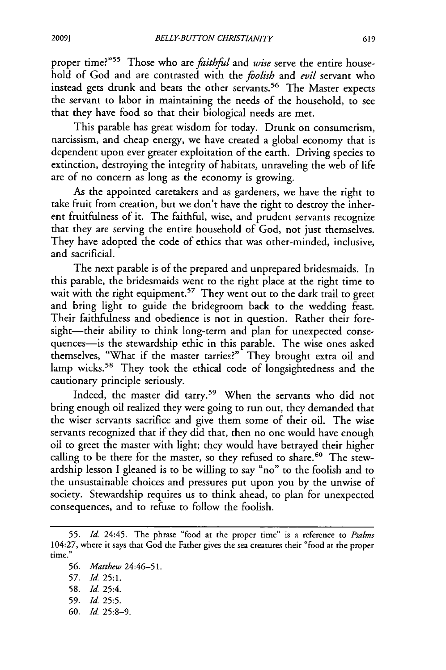proper time?"<sup>55</sup> Those who are *faithful* and *wise* serve the entire household of God and are contrasted with the *foolish* and *evil* servant who instead gets drunk and beats the other servants. 56 The Master expects the servant to labor in maintaining the needs of the household, to see that they have food so that their biological needs are met.

This parable has great wisdom for today. Drunk on consumerism, narcissism, and cheap energy, we have created a global economy that is dependent upon ever greater exploitation of the earth. Driving species to extinction, destroying the integrity of habitats, unraveling the web of life are of no concern as long as the economy is growing.

As the appointed caretakers and as gardeners, we have the right to take fruit from creation, but we don't have the right to destroy the inherent fruitfulness of it. The faithful, wise, and prudent servants recognize that they are serving the entire household of God, not just themselves. They have adopted the code of ethics that was other-minded, inclusive, and sacrificial.

The next parable is of the prepared and unprepared bridesmaids. In this parable, the bridesmaids went to the right place at the right time to wait with the right equipment.<sup>57</sup> They went out to the dark trail to greet and bring light to guide the bridegroom back to the wedding feast. Their faithfulness and obedience is not in question. Rather their foresight-their ability to think long-term and plan for unexpected consequences-is the stewardship ethic in this parable. The wise ones asked themselves, "What if the master tarries?" They brought extra oil and lamp wicks.<sup>58</sup> They took the ethical code of longsightedness and the cautionary principle seriously.

Indeed, the master did tarry.<sup>59</sup> When the servants who did not bring enough oil realized they were going to run out, they demanded that the wiser servants sacrifice and give them some of their oil. The wise servants recognized that if they did that, then no one would have enough oil to greet the master with light; they would have betrayed their higher calling to be there for the master, so they refused to share.<sup>60</sup> The stewardship lesson I gleaned is to be willing to say "no" to the foolish and to the unsustainable choices and pressures put upon you by the unwise of society. Stewardship requires us to think ahead, to plan for unexpected consequences, and to refuse to follow the foolish.

**<sup>55.</sup>** Id. 24:45. The phrase "food at the proper time" is a reference to *Psalms* 104:27, where it says that God the Father gives the sea creatures their "food at the proper time."

**<sup>56.</sup>** *Matthew* 24:46-5 1.

**<sup>57.</sup>** Id. **25:1.**

**<sup>58.</sup>** Id. 25:4.

**<sup>59.</sup>** *Id* **25:5.**

**<sup>60.</sup>** Id. **25:8-9.**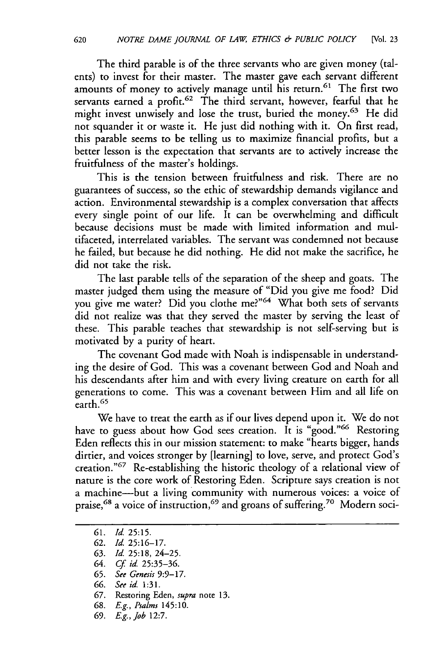The third parable is of the three servants who are given money (talents) to invest for their master. The master gave each servant different amounts of money to actively manage until his return.<sup>61</sup> The first two servants earned a profit.<sup>62</sup> The third servant, however, fearful that he might invest unwisely and lose the trust, buried the money.<sup>63</sup> He did not squander it or waste it. He just did nothing with it. On first read, this parable seems to be telling us to maximize financial profits, but a better lesson is the expectation that servants are to actively increase the fruitfulness of the master's holdings.

This is the tension between fruitfulness and risk. There are no guarantees of success, so the ethic of stewardship demands vigilance and action. Environmental stewardship is a complex conversation that affects every single point of our life. It can be overwhelming and difficult because decisions must be made with limited information and multifaceted, interrelated variables. The servant was condemned not because he failed, but because he did nothing. He did not make the sacrifice, he did not take the risk.

The last parable tells of the separation of the sheep and goats. The master judged them using the measure of "Did you give me food? Did you give me water? Did you clothe me?"<sup>64</sup> What both sets of servants did not realize was that they served the master by serving the least of these. This parable teaches that stewardship is not self-serving but is motivated by a purity of heart.

The covenant God made with Noah is indispensable in understanding the desire of God. This was a covenant between God and Noah and his descendants after him and with every living creature on earth for all generations to come. This was a covenant between Him and all life on earth.<sup>65</sup>

We have to treat the earth as if our lives depend upon it. We do not have to guess about how God sees creation. It is "good."<sup>66</sup> Restoring Eden reflects this in our mission statement: to make "hearts bigger, hands dirtier, and voices stronger by [learning] to love, serve, and protect God's creation."<sup>67</sup> Re-establishing the historic theology of a relational view of nature is the core work of Restoring Eden. Scripture says creation is not a machine-but a living community with numerous voices: a voice of praise, <sup>68</sup> a voice of instruction, <sup>69</sup> and groans of suffering.<sup>70</sup> Modern soci-

**69.** *Eg., Job* 12:7.

**<sup>61.</sup>** *Id.* **25:15.**

**<sup>62.</sup>** *Id.* 25:16-17.

**<sup>63.</sup>** *Id.* **25:18,** 24-25.

<sup>64.</sup> Cf id. **25:35-36.**

**<sup>65.</sup>** See Genesis 9:9-17.

**<sup>66.</sup>** See id. 1:31.

<sup>67.</sup> Restoring Eden, *supra* note 13.

**<sup>68.</sup>** *E.g., Psalms* 145:10.